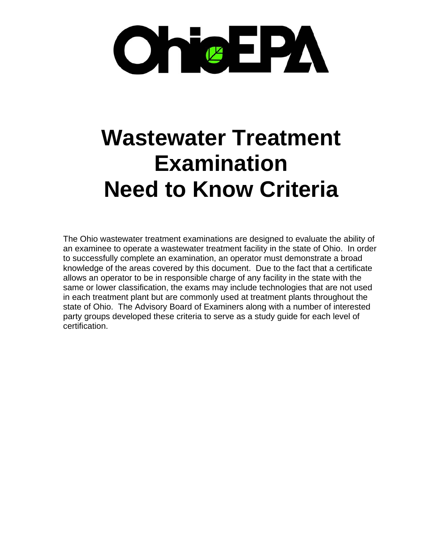

# **Wastewater Treatment Examination Need to Know Criteria**

The Ohio wastewater treatment examinations are designed to evaluate the ability of an examinee to operate a wastewater treatment facility in the state of Ohio. In order to successfully complete an examination, an operator must demonstrate a broad knowledge of the areas covered by this document. Due to the fact that a certificate allows an operator to be in responsible charge of any facility in the state with the same or lower classification, the exams may include technologies that are not used in each treatment plant but are commonly used at treatment plants throughout the state of Ohio. The Advisory Board of Examiners along with a number of interested party groups developed these criteria to serve as a study guide for each level of certification.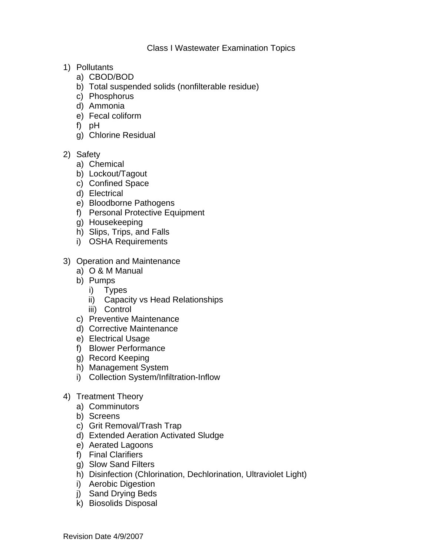- 1) Pollutants
	- a) CBOD/BOD
	- b) Total suspended solids (nonfilterable residue)
	- c) Phosphorus
	- d) Ammonia
	- e) Fecal coliform
	- f) pH
	- g) Chlorine Residual
- 2) Safety
	- a) Chemical
	- b) Lockout/Tagout
	- c) Confined Space
	- d) Electrical
	- e) Bloodborne Pathogens
	- f) Personal Protective Equipment
	- g) Housekeeping
	- h) Slips, Trips, and Falls
	- i) OSHA Requirements
- 3) Operation and Maintenance
	- a) O & M Manual
	- b) Pumps
		- i) Types
		- ii) Capacity vs Head Relationships
		- iii) Control
	- c) Preventive Maintenance
	- d) Corrective Maintenance
	- e) Electrical Usage
	- f) Blower Performance
	- g) Record Keeping
	- h) Management System
	- i) Collection System/Infiltration-Inflow
- 4) Treatment Theory
	- a) Comminutors
	- b) Screens
	- c) Grit Removal/Trash Trap
	- d) Extended Aeration Activated Sludge
	- e) Aerated Lagoons
	- f) Final Clarifiers
	- g) Slow Sand Filters
	- h) Disinfection (Chlorination, Dechlorination, Ultraviolet Light)
	- i) Aerobic Digestion
	- j) Sand Drying Beds
	- k) Biosolids Disposal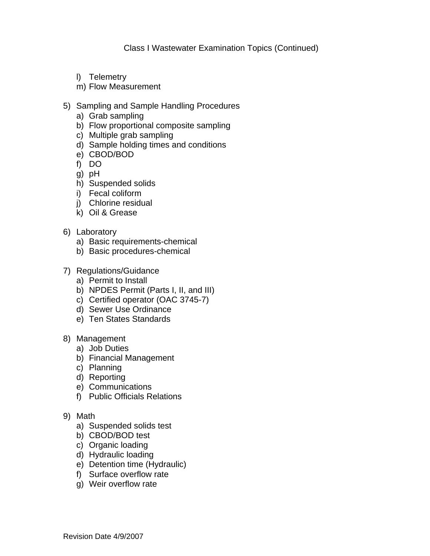Class I Wastewater Examination Topics (Continued)

- l) Telemetry
- m) Flow Measurement
- 5) Sampling and Sample Handling Procedures
	- a) Grab sampling
	- b) Flow proportional composite sampling
	- c) Multiple grab sampling
	- d) Sample holding times and conditions
	- e) CBOD/BOD
	- f) DO
	- g) pH
	- h) Suspended solids
	- i) Fecal coliform
	- j) Chlorine residual
	- k) Oil & Grease
- 6) Laboratory
	- a) Basic requirements-chemical
	- b) Basic procedures-chemical
- 7) Regulations/Guidance
	- a) Permit to Install
	- b) NPDES Permit (Parts I, II, and III)
	- c) Certified operator (OAC 3745-7)
	- d) Sewer Use Ordinance
	- e) Ten States Standards
- 8) Management
	- a) Job Duties
	- b) Financial Management
	- c) Planning
	- d) Reporting
	- e) Communications
	- f) Public Officials Relations
- 9) Math
	- a) Suspended solids test
	- b) CBOD/BOD test
	- c) Organic loading
	- d) Hydraulic loading
	- e) Detention time (Hydraulic)
	- f) Surface overflow rate
	- g) Weir overflow rate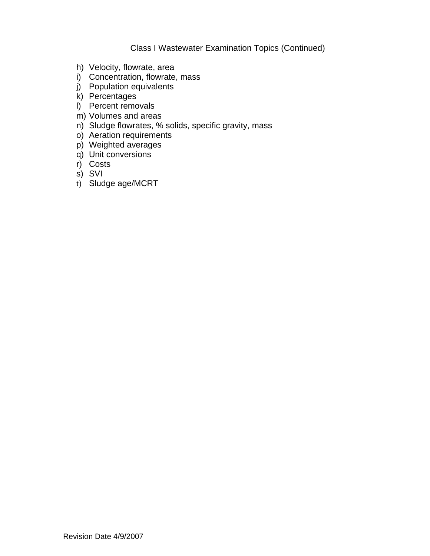## Class I Wastewater Examination Topics (Continued)

- h) Velocity, flowrate, area
- i) Concentration, flowrate, mass
- j) Population equivalents
- k) Percentages
- l) Percent removals
- m) Volumes and areas
- n) Sludge flowrates, % solids, specific gravity, mass
- o) Aeration requirements
- p) Weighted averages
- q) Unit conversions
- r) Costs
- s) SVI
- t) Sludge age/MCRT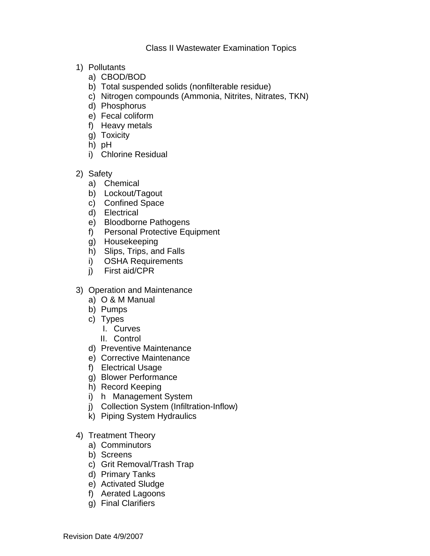#### Class II Wastewater Examination Topics

- 1) Pollutants
	- a) CBOD/BOD
	- b) Total suspended solids (nonfilterable residue)
	- c) Nitrogen compounds (Ammonia, Nitrites, Nitrates, TKN)
	- d) Phosphorus
	- e) Fecal coliform
	- f) Heavy metals
	- g) Toxicity
	- h) pH
	- i) Chlorine Residual
- 2) Safety
	- a) Chemical
	- b) Lockout/Tagout
	- c) Confined Space
	- d) Electrical
	- e) Bloodborne Pathogens
	- f) Personal Protective Equipment
	- g) Housekeeping
	- h) Slips, Trips, and Falls
	- i) OSHA Requirements
	- j) First aid/CPR
- 3) Operation and Maintenance
	- a) O & M Manual
	- b) Pumps
	- c) Types
		- I. Curves
		- II. Control
	- d) Preventive Maintenance
	- e) Corrective Maintenance
	- f) Electrical Usage
	- g) Blower Performance
	- h) Record Keeping
	- i) h Management System
	- j) Collection System (Infiltration-Inflow)
	- k) Piping System Hydraulics
- 4) Treatment Theory
	- a) Comminutors
	- b) Screens
	- c) Grit Removal/Trash Trap
	- d) Primary Tanks
	- e) Activated Sludge
	- f) Aerated Lagoons
	- g) Final Clarifiers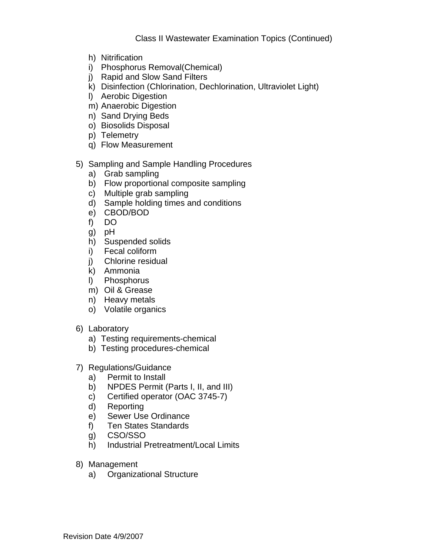- h) Nitrification
- i) Phosphorus Removal(Chemical)
- j) Rapid and Slow Sand Filters
- k) Disinfection (Chlorination, Dechlorination, Ultraviolet Light)
- l) Aerobic Digestion
- m) Anaerobic Digestion
- n) Sand Drying Beds
- o) Biosolids Disposal
- p) Telemetry
- q) Flow Measurement

## 5) Sampling and Sample Handling Procedures

- a) Grab sampling
- b) Flow proportional composite sampling
- c) Multiple grab sampling
- d) Sample holding times and conditions
- e) CBOD/BOD
- f) DO
- g) pH
- h) Suspended solids
- i) Fecal coliform
- j) Chlorine residual
- k) Ammonia
- l) Phosphorus
- m) Oil & Grease
- n) Heavy metals
- o) Volatile organics
- 6) Laboratory
	- a) Testing requirements-chemical
	- b) Testing procedures-chemical

## 7) Regulations/Guidance

- a) Permit to Install
- b) NPDES Permit (Parts I, II, and III)
- c) Certified operator (OAC 3745-7)
- d) Reporting
- e) Sewer Use Ordinance
- f) Ten States Standards
- g) CSO/SSO
- h) Industrial Pretreatment/Local Limits
- 8) Management
	- a) Organizational Structure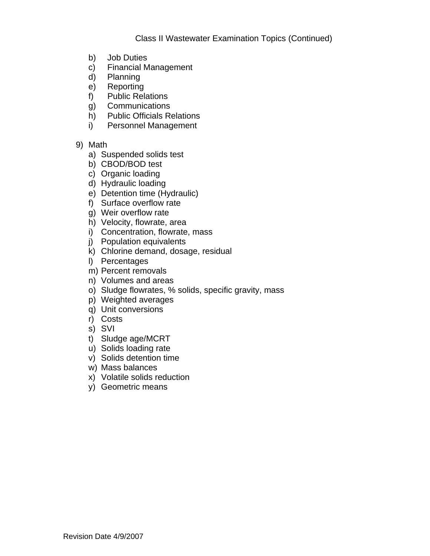- b) Job Duties
- c) Financial Management
- d) Planning
- e) Reporting
- f) Public Relations
- g) Communications
- h) Public Officials Relations
- i) Personnel Management
- 9) Math
	- a) Suspended solids test
	- b) CBOD/BOD test
	- c) Organic loading
	- d) Hydraulic loading
	- e) Detention time (Hydraulic)
	- f) Surface overflow rate
	- g) Weir overflow rate
	- h) Velocity, flowrate, area
	- i) Concentration, flowrate, mass
	- j) Population equivalents
	- k) Chlorine demand, dosage, residual
	- l) Percentages
	- m) Percent removals
	- n) Volumes and areas
	- o) Sludge flowrates, % solids, specific gravity, mass
	- p) Weighted averages
	- q) Unit conversions
	- r) Costs
	- s) SVI
	- t) Sludge age/MCRT
	- u) Solids loading rate
	- v) Solids detention time
	- w) Mass balances
	- x) Volatile solids reduction
	- y) Geometric means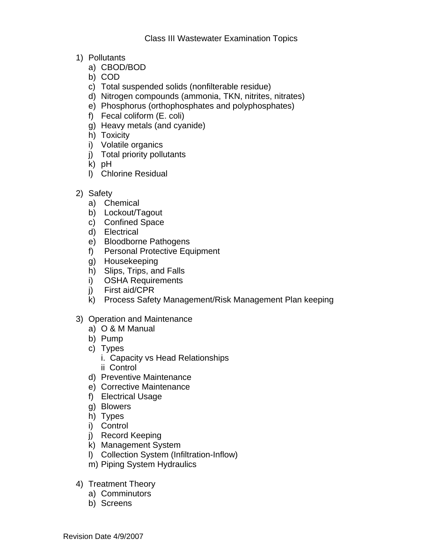- 1) Pollutants
	- a) CBOD/BOD
	- b) COD
	- c) Total suspended solids (nonfilterable residue)
	- d) Nitrogen compounds (ammonia, TKN, nitrites, nitrates)
	- e) Phosphorus (orthophosphates and polyphosphates)
	- f) Fecal coliform (E. coli)
	- g) Heavy metals (and cyanide)
	- h) Toxicity
	- i) Volatile organics
	- j) Total priority pollutants
	- k) pH
	- l) Chlorine Residual
- 2) Safety
	- a) Chemical
	- b) Lockout/Tagout
	- c) Confined Space
	- d) Electrical
	- e) Bloodborne Pathogens
	- f) Personal Protective Equipment
	- g) Housekeeping
	- h) Slips, Trips, and Falls
	- i) OSHA Requirements
	- j) First aid/CPR
	- k) Process Safety Management/Risk Management Plan keeping
- 3) Operation and Maintenance
	- a) O & M Manual
	- b) Pump
	- c) Types
		- i. Capacity vs Head Relationships
		- ii Control
	- d) Preventive Maintenance
	- e) Corrective Maintenance
	- f) Electrical Usage
	- g) Blowers
	- h) Types
	- i) Control
	- j) Record Keeping
	- k) Management System
	- l) Collection System (Infiltration-Inflow)
	- m) Piping System Hydraulics
- 4) Treatment Theory
	- a) Comminutors
	- b) Screens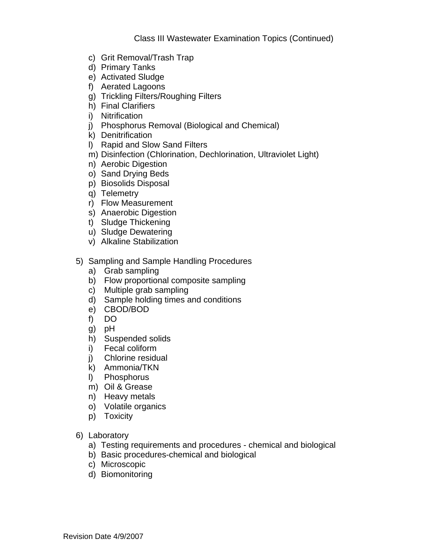- c) Grit Removal/Trash Trap
- d) Primary Tanks
- e) Activated Sludge
- f) Aerated Lagoons
- g) Trickling Filters/Roughing Filters
- h) Final Clarifiers
- i) Nitrification
- j) Phosphorus Removal (Biological and Chemical)
- k) Denitrification
- l) Rapid and Slow Sand Filters
- m) Disinfection (Chlorination, Dechlorination, Ultraviolet Light)
- n) Aerobic Digestion
- o) Sand Drying Beds
- p) Biosolids Disposal
- q) Telemetry
- r) Flow Measurement
- s) Anaerobic Digestion
- t) Sludge Thickening
- u) Sludge Dewatering
- v) Alkaline Stabilization
- 5) Sampling and Sample Handling Procedures
	- a) Grab sampling
	- b) Flow proportional composite sampling
	- c) Multiple grab sampling
	- d) Sample holding times and conditions
	- e) CBOD/BOD
	- f) DO
	- g) pH
	- h) Suspended solids
	- i) Fecal coliform
	- j) Chlorine residual
	- k) Ammonia/TKN
	- l) Phosphorus
	- m) Oil & Grease
	- n) Heavy metals
	- o) Volatile organics
	- p) Toxicity
- 6) Laboratory
	- a) Testing requirements and procedures chemical and biological
	- b) Basic procedures-chemical and biological
	- c) Microscopic
	- d) Biomonitoring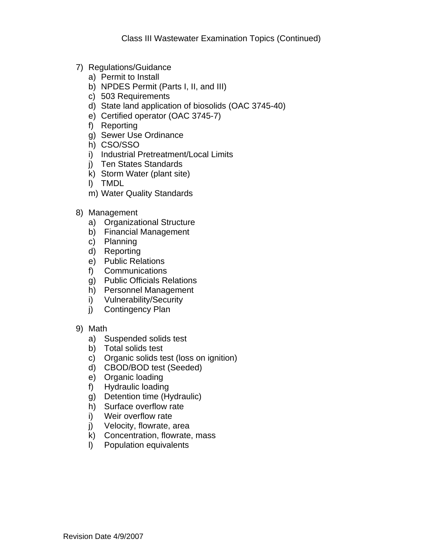- 7) Regulations/Guidance
	- a) Permit to Install
	- b) NPDES Permit (Parts I, II, and III)
	- c) 503 Requirements
	- d) State land application of biosolids (OAC 3745-40)
	- e) Certified operator (OAC 3745-7)
	- f) Reporting
	- g) Sewer Use Ordinance
	- h) CSO/SSO
	- i) Industrial Pretreatment/Local Limits
	- j) Ten States Standards
	- k) Storm Water (plant site)
	- l) TMDL
	- m) Water Quality Standards
- 8) Management
	- a) Organizational Structure
	- b) Financial Management
	- c) Planning
	- d) Reporting
	- e) Public Relations
	- f) Communications
	- g) Public Officials Relations
	- h) Personnel Management
	- i) Vulnerability/Security
	- j) Contingency Plan
- 9) Math
	- a) Suspended solids test
	- b) Total solids test
	- c) Organic solids test (loss on ignition)
	- d) CBOD/BOD test (Seeded)
	- e) Organic loading
	- f) Hydraulic loading
	- g) Detention time (Hydraulic)
	- h) Surface overflow rate
	- i) Weir overflow rate
	- j) Velocity, flowrate, area
	- k) Concentration, flowrate, mass
	- l) Population equivalents